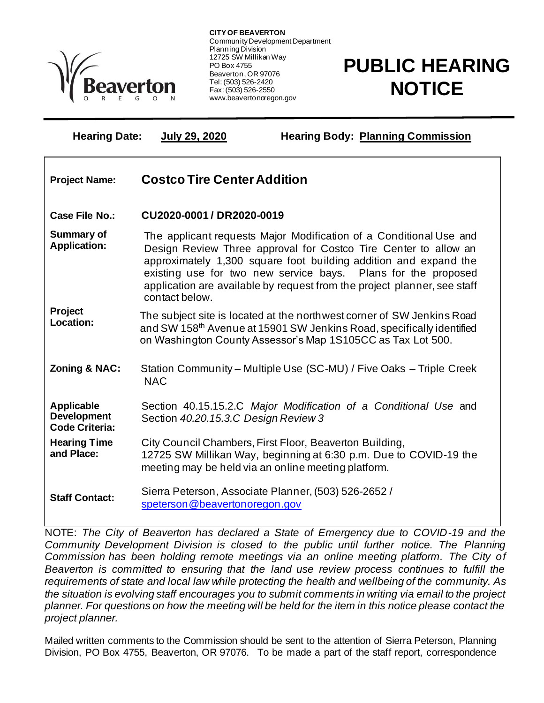

Ξ

**CITY OF BEAVERTON** Community Development Department Planning Division 12725 SW Millikan Way PO Box 4755 Beaverton, OR 97076 Tel: (503) 526-2420 Fax: (503) 526-2550 www.beavertonoregon.gov

## **PUBLIC HEARING NOTICE**

**Hearing Date: July 29, 2020 Hearing Body: Planning Commission**

| <b>Project Name:</b>                                             | <b>Costco Tire Center Addition</b>                                                                                                                                                                                                                                                                                                                                       |
|------------------------------------------------------------------|--------------------------------------------------------------------------------------------------------------------------------------------------------------------------------------------------------------------------------------------------------------------------------------------------------------------------------------------------------------------------|
| Case File No.:                                                   | CU2020-0001 / DR2020-0019                                                                                                                                                                                                                                                                                                                                                |
| <b>Summary of</b><br><b>Application:</b>                         | The applicant requests Major Modification of a Conditional Use and<br>Design Review Three approval for Costco Tire Center to allow an<br>approximately 1,300 square foot building addition and expand the<br>existing use for two new service bays. Plans for the proposed<br>application are available by request from the project planner, see staff<br>contact below. |
| Project<br>Location:                                             | The subject site is located at the northwest corner of SW Jenkins Road<br>and SW 158 <sup>th</sup> Avenue at 15901 SW Jenkins Road, specifically identified<br>on Washington County Assessor's Map 1S105CC as Tax Lot 500.                                                                                                                                               |
| <b>Zoning &amp; NAC:</b>                                         | Station Community – Multiple Use (SC-MU) / Five Oaks – Triple Creek<br><b>NAC</b>                                                                                                                                                                                                                                                                                        |
| <b>Applicable</b><br><b>Development</b><br><b>Code Criteria:</b> | Section 40.15.15.2.C Major Modification of a Conditional Use and<br>Section 40.20.15.3.C Design Review 3                                                                                                                                                                                                                                                                 |
| <b>Hearing Time</b><br>and Place:                                | City Council Chambers, First Floor, Beaverton Building,<br>12725 SW Millikan Way, beginning at 6:30 p.m. Due to COVID-19 the<br>meeting may be held via an online meeting platform.                                                                                                                                                                                      |
| <b>Staff Contact:</b>                                            | Sierra Peterson, Associate Planner, (503) 526-2652 /<br>speterson@beavertonoregon.gov                                                                                                                                                                                                                                                                                    |

NOTE: *The City of Beaverton has declared a State of Emergency due to COVID-19 and the Community Development Division is closed to the public until further notice. The Planning Commission has been holding remote meetings via an online meeting platform. The City of Beaverton is committed to ensuring that the land use review process continues to fulfill the requirements of state and local law while protecting the health and wellbeing of the community. As the situation is evolving staff encourages you to submit comments in writing via email to the project planner. For questions on how the meeting will be held for the item in this notice please contact the project planner.* 

Mailed written comments to the Commission should be sent to the attention of Sierra Peterson, Planning Division, PO Box 4755, Beaverton, OR 97076. To be made a part of the staff report, correspondence